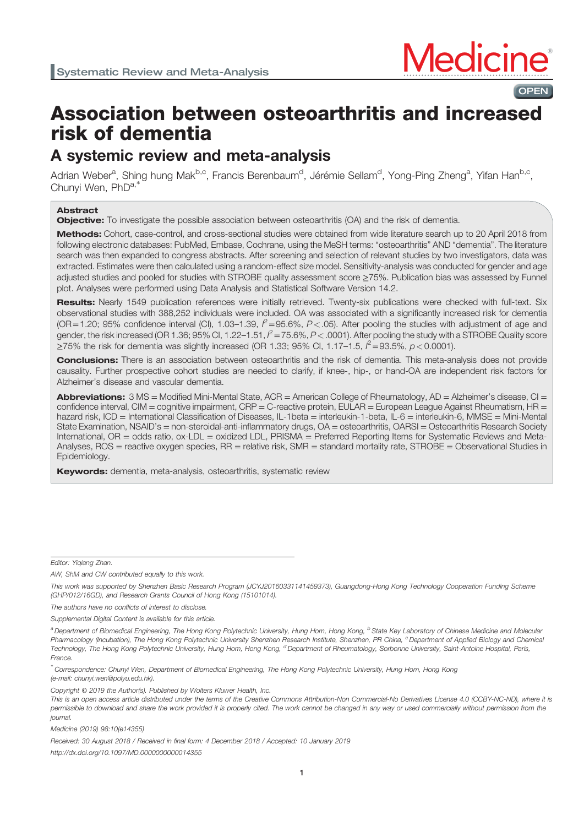# Systematic Review and Meta-Analysis Medicine

**OPEN** 

## Association between osteoarthritis and increased risk of dementia

### A systemic review and meta-analysis

Adrian Weber<sup>a</sup>, Shing hung Mak<sup>b,c</sup>, Francis Berenbaum<sup>d</sup>, Jérémie Sellam<sup>d</sup>, Yong-Ping Zheng<sup>a</sup>, Yifan Han<sup>b,c</sup>, Chunyi Wen, PhD<sup>a,1</sup>

#### Abstract

**Objective:** To investigate the possible association between osteoarthritis (OA) and the risk of dementia.

Methods: Cohort, case-control, and cross-sectional studies were obtained from wide literature search up to 20 April 2018 from following electronic databases: PubMed, Embase, Cochrane, using the MeSH terms: "osteoarthritis" AND "dementia". The literature search was then expanded to congress abstracts. After screening and selection of relevant studies by two investigators, data was extracted. Estimates were then calculated using a random-effect size model. Sensitivity-analysis was conducted for gender and age adjusted studies and pooled for studies with STROBE quality assessment score ≥75%. Publication bias was assessed by Funnel plot. Analyses were performed using Data Analysis and Statistical Software Version 14.2.

Results: Nearly 1549 publication references were initially retrieved. Twenty-six publications were checked with full-text. Six observational studies with 388,252 individuals were included. OA was associated with a significantly increased risk for dementia (OR=1.20; 95% confidence interval (CI), 1.03–1.39,  $l^2$ =95.6%,  $P$  < .05). After pooling the studies with adjustment of age and gender, the risk increased (OR 1.36; 95% CI, 1.22–1.51,  $l^2$  = 75.6%, P < .0001). After pooling the study with a STROBE Quality score  $\geq$ 75% the risk for dementia was slightly increased (OR 1.33; 95% CI, 1.17–1.5,  $l^2$ =93.5%, p < 0.0001).

Conclusions: There is an association between osteoarthritis and the risk of dementia. This meta-analysis does not provide causality. Further prospective cohort studies are needed to clarify, if knee-, hip-, or hand-OA are independent risk factors for Alzheimer's disease and vascular dementia.

Abbreviations: 3 MS = Modified Mini-Mental State, ACR = American College of Rheumatology, AD = Alzheimer's disease, CI = confidence interval, CIM = cognitive impairment, CRP = C-reactive protein, EULAR = European League Against Rheumatism, HR = hazard risk, ICD = International Classification of Diseases, IL-1beta = interleukin-1-beta, IL-6 = interleukin-6, MMSE = Mini-Mental State Examination, NSAID's = non-steroidal-anti-inflammatory drugs, OA = osteoarthritis, OARSI = Osteoarthritis Research Society International,  $OR =$  odds ratio,  $ox$ -LDL = oxidized LDL, PRISMA = Preferred Reporting Items for Systematic Reviews and Meta-Analyses,  $ROS =$  reactive oxygen species,  $RR =$  relative risk,  $SMR =$  standard mortality rate,  $STROBE =$  Observational Studies in Epidemiology.

Keywords: dementia, meta-analysis, osteoarthritis, systematic review

Editor: Yiqiang Zhan.

AW, ShM and CW contributed equally to this work.

The authors have no conflicts of interest to disclose.

Supplemental Digital Content is available for this article.

∗ Correspondence: Chunyi Wen, Department of Biomedical Engineering, The Hong Kong Polytechnic University, Hung Hom, Hong Kong (e-mail: chunyi.wen@polyu.edu.hk).

Copyright © 2019 the Author(s). Published by Wolters Kluwer Health, Inc.

Medicine (2019) 98:10(e14355)

Received: 30 August 2018 / Received in final form: 4 December 2018 / Accepted: 10 January 2019 http://dx.doi.org/10.1097/MD.0000000000014355

This work was supported by Shenzhen Basic Research Program (JCYJ20160331141459373), Guangdong-Hong Kong Technology Cooperation Funding Scheme (GHP/012/16GD), and Research Grants Council of Hong Kong (15101014).

<sup>&</sup>lt;sup>a</sup> Department of Biomedical Engineering, The Hong Kong Polytechnic University, Hung Hom, Hong Kong, <sup>b</sup> State Key Laboratory of Chinese Medicine and Molecular Pharmacology (Incubation), The Hong Kong Polytechnic University Shenzhen Research Institute, Shenzhen, PR China, <sup>c</sup> Department of Applied Biology and Chemical Technology, The Hong Kong Polytechnic University, Hung Hom, Hong Kong, <sup>d</sup>Department of Rheumatology, Sorbonne University, Saint-Antoine Hospital, Paris, France.

This is an open access article distributed under the terms of the Creative Commons Attribution-Non Commercial-No Derivatives License 4.0 (CCBY-NC-ND), where it is permissible to download and share the work provided it is properly cited. The work cannot be changed in any way or used commercially without permission from the journal.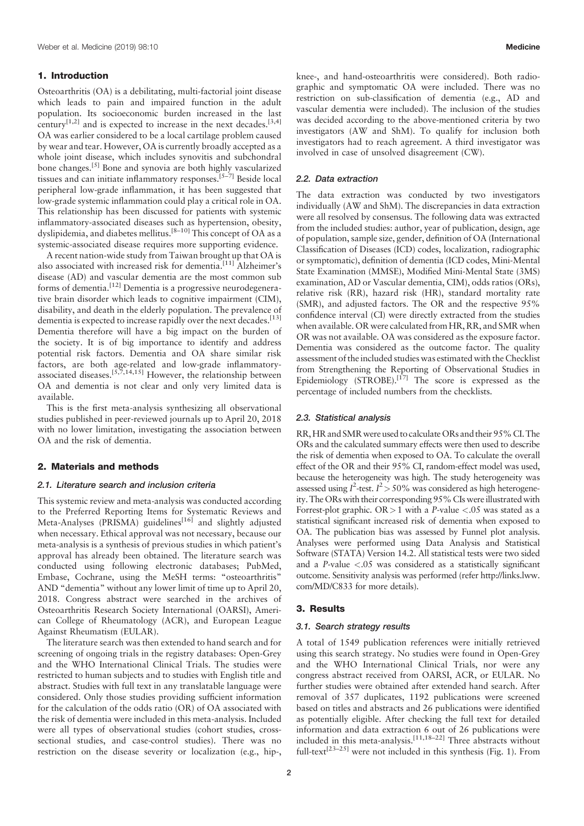#### 1. Introduction

Osteoarthritis (OA) is a debilitating, multi-factorial joint disease which leads to pain and impaired function in the adult population. Its socioeconomic burden increased in the last century<sup>[1,2]</sup> and is expected to increase in the next decades.<sup>[3,4]</sup> OA was earlier considered to be a local cartilage problem caused by wear and tear. However, OA is currently broadly accepted as a whole joint disease, which includes synovitis and subchondral bone changes.[5] Bone and synovia are both highly vascularized tissues and can initiate inflammatory responses.[5–7] Beside local peripheral low-grade inflammation, it has been suggested that low-grade systemic inflammation could play a critical role in OA. This relationship has been discussed for patients with systemic inflammatory-associated diseases such as hypertension, obesity, dyslipidemia, and diabetes mellitus.<sup>[8–10]</sup> This concept of OA as a systemic-associated disease requires more supporting evidence.

A recent nation-wide study from Taiwan brought up that OA is also associated with increased risk for dementia.[11] Alzheimer's disease (AD) and vascular dementia are the most common sub forms of dementia.[12] Dementia is a progressive neurodegenerative brain disorder which leads to cognitive impairment (CIM), disability, and death in the elderly population. The prevalence of dementia is expected to increase rapidly over the next decades.<sup>[13]</sup> Dementia therefore will have a big impact on the burden of the society. It is of big importance to identify and address potential risk factors. Dementia and OA share similar risk factors, are both age-related and low-grade inflammatoryassociated diseases.<sup>[5,7,14,15]</sup> However, the relationship between OA and dementia is not clear and only very limited data is available.

This is the first meta-analysis synthesizing all observational studies published in peer-reviewed journals up to April 20, 2018 with no lower limitation, investigating the association between OA and the risk of dementia.

#### 2. Materials and methods

#### 2.1. Literature search and inclusion criteria

This systemic review and meta-analysis was conducted according to the Preferred Reporting Items for Systematic Reviews and Meta-Analyses (PRISMA) guidelines<sup>[16]</sup> and slightly adjusted when necessary. Ethical approval was not necessary, because our meta-analysis is a synthesis of previous studies in which patient's approval has already been obtained. The literature search was conducted using following electronic databases; PubMed, Embase, Cochrane, using the MeSH terms: "osteoarthritis" AND "dementia" without any lower limit of time up to April 20, 2018. Congress abstract were searched in the archives of Osteoarthritis Research Society International (OARSI), American College of Rheumatology (ACR), and European League Against Rheumatism (EULAR).

The literature search was then extended to hand search and for screening of ongoing trials in the registry databases: Open-Grey and the WHO International Clinical Trials. The studies were restricted to human subjects and to studies with English title and abstract. Studies with full text in any translatable language were considered. Only those studies providing sufficient information for the calculation of the odds ratio (OR) of OA associated with the risk of dementia were included in this meta-analysis. Included were all types of observational studies (cohort studies, crosssectional studies, and case-control studies). There was no restriction on the disease severity or localization (e.g., hip-, knee-, and hand-osteoarthritis were considered). Both radiographic and symptomatic OA were included. There was no restriction on sub-classification of dementia (e.g., AD and vascular dementia were included). The inclusion of the studies was decided according to the above-mentioned criteria by two investigators (AW and ShM). To qualify for inclusion both investigators had to reach agreement. A third investigator was involved in case of unsolved disagreement (CW).

#### 2.2. Data extraction

The data extraction was conducted by two investigators individually (AW and ShM). The discrepancies in data extraction were all resolved by consensus. The following data was extracted from the included studies: author, year of publication, design, age of population, sample size, gender, definition of OA (International Classification of Diseases (ICD) codes, localization, radiographic or symptomatic), definition of dementia (ICD codes, Mini-Mental State Examination (MMSE), Modified Mini-Mental State (3MS) examination, AD or Vascular dementia, CIM), odds ratios (ORs), relative risk (RR), hazard risk (HR), standard mortality rate (SMR), and adjusted factors. The OR and the respective 95% confidence interval (CI) were directly extracted from the studies when available. OR were calculated from HR, RR, and SMR when OR was not available. OA was considered as the exposure factor. Dementia was considered as the outcome factor. The quality assessment of the included studies was estimated with the Checklist from Strengthening the Reporting of Observational Studies in Epidemiology (STROBE).<sup>[17]</sup> The score is expressed as the percentage of included numbers from the checklists.

#### 2.3. Statistical analysis

RR, HR and SMR were used to calculate ORs and their 95% CI. The ORs and the calculated summary effects were then used to describe the risk of dementia when exposed to OA. To calculate the overall effect of the OR and their 95% CI, random-effect model was used, because the heterogeneity was high. The study heterogeneity was assessed using  $I^2$ -test.  $I^2 > 50\%$  was considered as high heterogeneity. The ORs with their corresponding 95% CIs were illustrated with Forrest-plot graphic.  $OR > 1$  with a P-value <.05 was stated as a statistical significant increased risk of dementia when exposed to OA. The publication bias was assessed by Funnel plot analysis. Analyses were performed using Data Analysis and Statistical Software (STATA) Version 14.2. All statistical tests were two sided and a P-value  $< 0.05$  was considered as a statistically significant outcome. Sensitivity analysis was performed (refer http://links.lww. com/MD/C833 for more details).

#### 3. Results

#### 3.1. Search strategy results

A total of 1549 publication references were initially retrieved using this search strategy. No studies were found in Open-Grey and the WHO International Clinical Trials, nor were any congress abstract received from OARSI, ACR, or EULAR. No further studies were obtained after extended hand search. After removal of 357 duplicates, 1192 publications were screened based on titles and abstracts and 26 publications were identified as potentially eligible. After checking the full text for detailed information and data extraction 6 out of 26 publications were included in this meta-analysis. $[11,18-22]$  Three abstracts without full-text<sup>[23-25]</sup> were not included in this synthesis (Fig. 1). From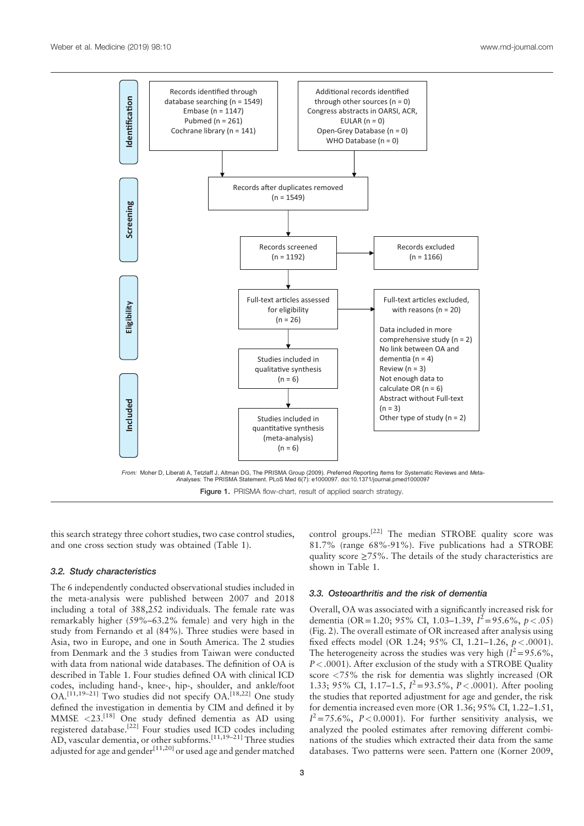

this search strategy three cohort studies, two case control studies, and one cross section study was obtained (Table 1).

#### 3.2. Study characteristics

The 6 independently conducted observational studies included in the meta-analysis were published between 2007 and 2018 including a total of 388,252 individuals. The female rate was remarkably higher (59%–63.2% female) and very high in the study from Fernando et al (84%). Three studies were based in Asia, two in Europe, and one in South America. The 2 studies from Denmark and the 3 studies from Taiwan were conducted with data from national wide databases. The definition of OA is described in Table 1. Four studies defined OA with clinical ICD codes, including hand-, knee-, hip-, shoulder, and ankle/foot  $OA<sup>[11,19–21]</sup>$  Two studies did not specify  $OA<sup>[18,22]</sup>$  One study defined the investigation in dementia by CIM and defined it by MMSE  $\langle 23.^{[18]}$  One study defined dementia as AD using registered database.<sup>[22]</sup> Four studies used ICD codes including  $\overrightarrow{AD}$ , vascular dementia, or other subforms.<sup>[11,19–21]</sup> Three studies adjusted for age and gender<sup>[11,20]</sup> or used age and gender matched control groups.[22] The median STROBE quality score was 81.7% (range 68%-91%). Five publications had a STROBE quality score  $\geq$ 75%. The details of the study characteristics are shown in Table 1.

#### 3.3. Osteoarthritis and the risk of dementia

Overall, OA was associated with a significantly increased risk for dementia (OR = 1.20; 95% CI, 1.03–1.39,  $I^2 = 95.6\%$ ,  $p < .05$ ) (Fig. 2). The overall estimate of OR increased after analysis using fixed effects model (OR 1.24; 95% CI, 1.21-1.26,  $p < .0001$ ). The heterogeneity across the studies was very high  $(I^2 = 95.6\%$ ,  $P < .0001$ ). After exclusion of the study with a STROBE Quality score <75% the risk for dementia was slightly increased (OR 1.33; 95% CI, 1.17–1.5,  $I^2 = 93.5\%$ ,  $P < .0001$ ). After pooling the studies that reported adjustment for age and gender, the risk for dementia increased even more (OR 1.36; 95% CI, 1.22–1.51,  $I^2$  = 75.6%, P < 0.0001). For further sensitivity analysis, we analyzed the pooled estimates after removing different combinations of the studies which extracted their data from the same databases. Two patterns were seen. Pattern one (Korner 2009,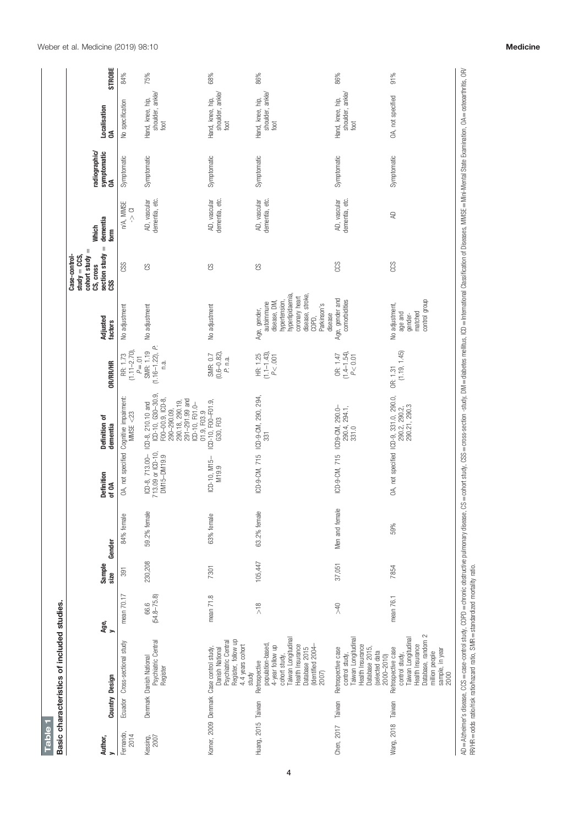| Basic characteristics of included studies                                                                                                                                                                                           |  |  |                                                       |                                                                                                                                                     |                                           |                                                                                                                                                          |                                                                                        |                                |                                    |                                              |               |
|-------------------------------------------------------------------------------------------------------------------------------------------------------------------------------------------------------------------------------------|--|--|-------------------------------------------------------|-----------------------------------------------------------------------------------------------------------------------------------------------------|-------------------------------------------|----------------------------------------------------------------------------------------------------------------------------------------------------------|----------------------------------------------------------------------------------------|--------------------------------|------------------------------------|----------------------------------------------|---------------|
| Sample                                                                                                                                                                                                                              |  |  | Definition                                            | Definition of                                                                                                                                       |                                           | Adjusted                                                                                                                                                 | section study $=$<br>$cont$ study $=$<br>Case-control-<br>study = $CCS$ ,<br>CS, cross | dementia<br>Which              | radiographic/<br>symptomatic<br>OA | Localisation                                 |               |
| Gender<br>size<br>Age,<br>y<br><b>Country Design</b>                                                                                                                                                                                |  |  | of 0A                                                 | dementia                                                                                                                                            | <b>OR/RR/HR</b>                           | factors                                                                                                                                                  | CSS                                                                                    | form                           |                                    | ă                                            | <b>STROBE</b> |
| 84% female<br>391<br>mean 70.17<br>Ecuador Cross-sectional study                                                                                                                                                                    |  |  |                                                       | OA, not specified Cognitive impairment:<br>MMSE $<$ 23                                                                                              | $(1.11 - 2.70)$<br>RR: 1.73<br>$P\!=\!01$ | No adjustment                                                                                                                                            | CSS                                                                                    | n/A, MMSE<br>$\overline{O}$    | Symptomatic                        | No specification                             | 84%           |
| 59.2% female<br>230,208<br>$(54.8 - 75.8)$<br>66.6<br>Psychiatric Central<br>Denmark Danish National<br>Register                                                                                                                    |  |  | ICD-8, 713.00- IC<br>713.09 or ICD-10,<br>DM15-DM19.9 | ICD-8, 210.10 and<br>ICD-10, G30–30.9,<br>F00–00.9, ICD-8,<br>$291 - 291.99$ and<br>290-290.09,<br>290.18, 290.19,<br>ICD-10, F01.0-<br>01.9, F03.9 | $(1.16 - 1.22)$ , P.<br>SMR: 1.19<br>n.a. | No adjustment                                                                                                                                            | S                                                                                      | dementia, etc.<br>AD, vascular | Symptomatic                        | shoulder, ankle/<br>Hand, knee, hip,<br>foot | 75%           |
| 63% female<br>7301<br>mean 71.8<br>Register, follow up<br>4.4 years cohort<br>Psychiatric Central<br>Korner, 2009 Denmark Case control study,<br>Danish National<br>study                                                           |  |  | ICD-10, M15-<br>M19.9                                 | ICD-10, F00-F01.9,<br>G30, F03                                                                                                                      | $(0, 6 - 0.82)$ ,<br>SMR: 0.7<br>P. n.a.  | No adjustment                                                                                                                                            | S                                                                                      | dementia, etc.<br>AD, vascular | Symptomatic                        | shoulder, ankle/<br>Hand, knee, hip,<br>foot | 68%           |
| 63.2% female<br>105,447<br>$\frac{8}{10}$<br>Taiwan Longitudinal<br>population-based,<br>Health Insurance<br>Identified 2004-<br>4-year follow up<br>Database 2015<br>cohort study,<br>Retrospective<br>2007)<br>Huang, 2015 Taiwan |  |  | ICD-9-CM, 715                                         | ICD-9-CM, 290, 294,<br>331                                                                                                                          | $(1.1 - 1.43)$<br>HR: 1.25<br>P < .001    | hyperlipidaemia,<br>disease, stroke,<br>coronary heart<br>hypertension,<br>disease, DM,<br>autoimmune<br>Parkinson's<br>Age, gender,<br>disease<br>COPD, | S                                                                                      | AD, vascular<br>dementia, etc  | Symptomatic                        | shoulder, ankle/<br>Hand, knee, hip,<br>foot | 86%           |
| Men and female<br>37,051<br>$\approx$<br>Taiwan Longitudinal<br>Health Insurance<br>Database 2015,<br>Retrospective case<br>(selected data<br>control study,<br>2000-2010)<br>Chen, 2017 Taiwan                                     |  |  | ICD-9-CM, 715                                         | ICD9-CM, 290.0-<br>290.4, 294.1,<br>331.0                                                                                                           | $(1.4 - 1.54),$<br>$P < 0.01$<br>OR: 1.47 | Age, gender and<br>comorbidities                                                                                                                         | <b>CCS</b>                                                                             | AD, vascular<br>dementia, etc. | Symptomatic                        | shoulder, ankle/<br>Hand, knee, hip,<br>foot | 86%           |
| 59%<br>7854<br>mean 76.1<br>Database, random 2<br>Taiwan Longitudinal<br>Health Insurance<br>Retrospective case<br>sample, in year<br>2000<br>million people<br>control study,<br>Wang, 2018 Taiwan                                 |  |  |                                                       | OA, not specified ICD-9, 331.0, 290.0,<br>290.2, 290.2,<br>290.21, 290.3                                                                            | (1.19, 1.45)<br>OR: 1.31                  | control group<br>No adjustment,<br>matched<br>age and<br>gender-                                                                                         | CCS                                                                                    | $\mathbb{R}$                   | Symptomatic                        | OA, not specified                            | 91%           |

4

AD=Alzheimer's disease, CCS=case-control study, COPD=chronic obstructive pulmonary disease, CS=cohort study, CSS=cross-section -study, DM=diabetes mellitus, ICD=International Classification of Diseases, MMSE=Mini-Mental St AD=Alzheiner's disease, CCS=case-control study, CDPD = chronic othstructive pulmicodity DM issase, CS=cohort study, CSS=cross-section -study, CSS=cross-section -study, CSS=cross-section -study, CSS=cross-section of Disease RR/HR=odds ratio/risk ratio/hazard ratio, SMR=standardized mortality ratio.

Table 1

Table 1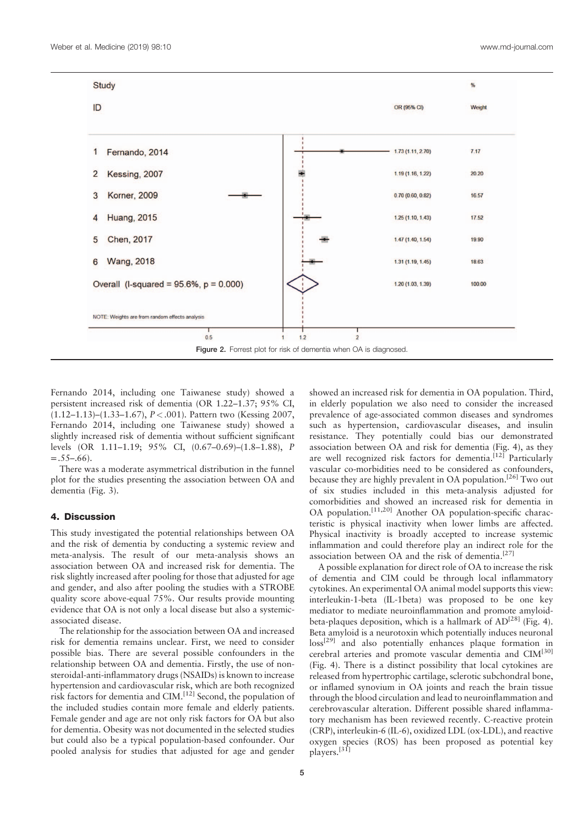

Fernando 2014, including one Taiwanese study) showed a persistent increased risk of dementia (OR 1.22–1.37; 95% CI, (1.12–1.13)–(1.33–1.67), P<.001). Pattern two (Kessing 2007, Fernando 2014, including one Taiwanese study) showed a slightly increased risk of dementia without sufficient significant levels (OR 1.11–1.19; 95% CI, (0.67–0.69)–(1.8–1.88), P  $=.55-.66$ ).

There was a moderate asymmetrical distribution in the funnel plot for the studies presenting the association between OA and dementia (Fig. 3).

#### 4. Discussion

This study investigated the potential relationships between OA and the risk of dementia by conducting a systemic review and meta-analysis. The result of our meta-analysis shows an association between OA and increased risk for dementia. The risk slightly increased after pooling for those that adjusted for age and gender, and also after pooling the studies with a STROBE quality score above-equal 75%. Our results provide mounting evidence that OA is not only a local disease but also a systemicassociated disease.

The relationship for the association between OA and increased risk for dementia remains unclear. First, we need to consider possible bias. There are several possible confounders in the relationship between OA and dementia. Firstly, the use of nonsteroidal-anti-inflammatory drugs (NSAIDs) is known to increase hypertension and cardiovascular risk, which are both recognized risk factors for dementia and  $CIM$ .<sup>[12]</sup> Second, the population of the included studies contain more female and elderly patients. Female gender and age are not only risk factors for OA but also for dementia. Obesity was not documented in the selected studies but could also be a typical population-based confounder. Our pooled analysis for studies that adjusted for age and gender showed an increased risk for dementia in OA population. Third, in elderly population we also need to consider the increased prevalence of age-associated common diseases and syndromes such as hypertension, cardiovascular diseases, and insulin resistance. They potentially could bias our demonstrated association between OA and risk for dementia (Fig. 4), as they are well recognized risk factors for dementia.<sup>[12]</sup> Particularly vascular co-morbidities need to be considered as confounders, because they are highly prevalent in OA population.<sup>[26]</sup> Two out of six studies included in this meta-analysis adjusted for comorbidities and showed an increased risk for dementia in OA population.[11,20] Another OA population-specific characteristic is physical inactivity when lower limbs are affected. Physical inactivity is broadly accepted to increase systemic inflammation and could therefore play an indirect role for the association between OA and the risk of dementia.<sup>[27]</sup>

A possible explanation for direct role of OA to increase the risk of dementia and CIM could be through local inflammatory cytokines. An experimental OA animal model supports this view: interleukin-1-beta (IL-1beta) was proposed to be one key mediator to mediate neuroinflammation and promote amyloidbeta-plaques deposition, which is a hallmark of AD<sup>[28]</sup> (Fig. 4). Beta amyloid is a neurotoxin which potentially induces neuronal  $\cos^{[29]}$  and also potentially enhances plaque formation in cerebral arteries and promote vascular dementia and CIM[30] (Fig. 4). There is a distinct possibility that local cytokines are released from hypertrophic cartilage, sclerotic subchondral bone, or inflamed synovium in OA joints and reach the brain tissue through the blood circulation and lead to neuroinflammation and cerebrovascular alteration. Different possible shared inflammatory mechanism has been reviewed recently. C-reactive protein (CRP), interleukin-6 (IL-6), oxidized LDL (ox-LDL), and reactive oxygen species (ROS) has been proposed as potential key players.<sup>[31]</sup>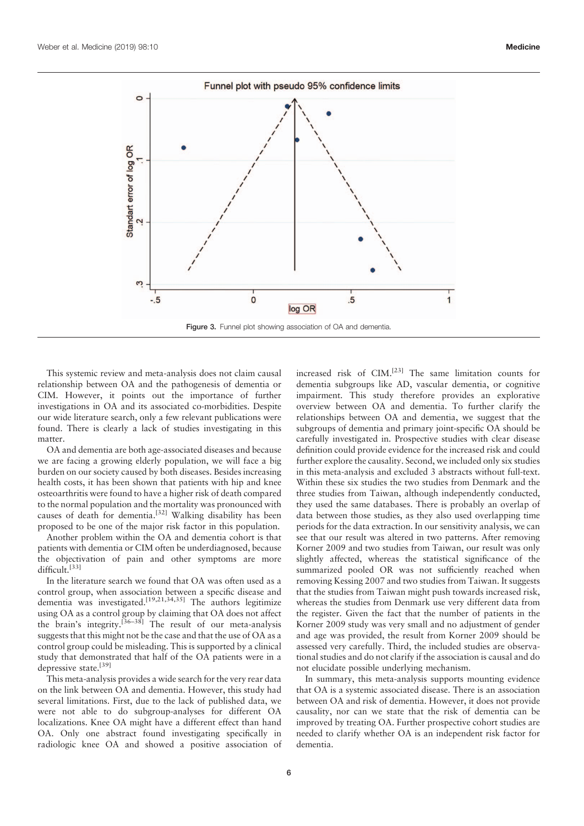

This systemic review and meta-analysis does not claim causal relationship between OA and the pathogenesis of dementia or CIM. However, it points out the importance of further investigations in OA and its associated co-morbidities. Despite our wide literature search, only a few relevant publications were found. There is clearly a lack of studies investigating in this matter.

OA and dementia are both age-associated diseases and because we are facing a growing elderly population, we will face a big burden on our society caused by both diseases. Besides increasing health costs, it has been shown that patients with hip and knee osteoarthritis were found to have a higher risk of death compared to the normal population and the mortality was pronounced with causes of death for dementia.<sup>[32]</sup> Walking disability has been proposed to be one of the major risk factor in this population.

Another problem within the OA and dementia cohort is that patients with dementia or CIM often be underdiagnosed, because the objectivation of pain and other symptoms are more difficult.<sup>[33]</sup>

In the literature search we found that OA was often used as a control group, when association between a specific disease and dementia was investigated.<sup>[19,21,34,35]</sup> The authors legitimize using OA as a control group by claiming that OA does not affect the brain's integrity.<sup>[36-38]</sup> The result of our meta-analysis suggests that this might not be the case and that the use of OA as a control group could be misleading. This is supported by a clinical study that demonstrated that half of the OA patients were in a depressive state.<sup>[39]</sup>

This meta-analysis provides a wide search for the very rear data on the link between OA and dementia. However, this study had several limitations. First, due to the lack of published data, we were not able to do subgroup-analyses for different OA localizations. Knee OA might have a different effect than hand OA. Only one abstract found investigating specifically in radiologic knee OA and showed a positive association of increased risk of  $CIM$ <sup>[23]</sup> The same limitation counts for dementia subgroups like AD, vascular dementia, or cognitive impairment. This study therefore provides an explorative overview between OA and dementia. To further clarify the relationships between OA and dementia, we suggest that the subgroups of dementia and primary joint-specific OA should be carefully investigated in. Prospective studies with clear disease definition could provide evidence for the increased risk and could further explore the causality. Second, we included only six studies in this meta-analysis and excluded 3 abstracts without full-text. Within these six studies the two studies from Denmark and the three studies from Taiwan, although independently conducted, they used the same databases. There is probably an overlap of data between those studies, as they also used overlapping time periods for the data extraction. In our sensitivity analysis, we can see that our result was altered in two patterns. After removing Korner 2009 and two studies from Taiwan, our result was only slightly affected, whereas the statistical significance of the summarized pooled OR was not sufficiently reached when removing Kessing 2007 and two studies from Taiwan. It suggests that the studies from Taiwan might push towards increased risk, whereas the studies from Denmark use very different data from the register. Given the fact that the number of patients in the Korner 2009 study was very small and no adjustment of gender and age was provided, the result from Korner 2009 should be assessed very carefully. Third, the included studies are observational studies and do not clarify if the association is causal and do not elucidate possible underlying mechanism.

In summary, this meta-analysis supports mounting evidence that OA is a systemic associated disease. There is an association between OA and risk of dementia. However, it does not provide causality, nor can we state that the risk of dementia can be improved by treating OA. Further prospective cohort studies are needed to clarify whether OA is an independent risk factor for dementia.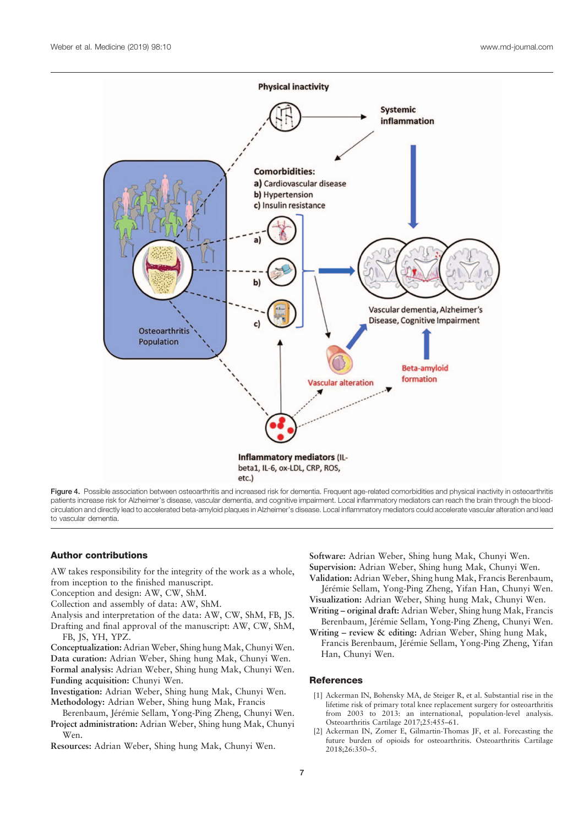

Figure 4. Possible association between osteoarthritis and increased risk for dementia. Frequent age-related comorbidities and physical inactivity in osteoarthritis patients increase risk for Alzheimer's disease, vascular dementia, and cognitive impairment. Local inflammatory mediators can reach the brain through the bloodcirculation and directly lead to accelerated beta-amyloid plaques in Alzheimer's disease. Local inflammatory mediators could accelerate vascular alteration and lead to vascular dementia.

#### Author contributions

AW takes responsibility for the integrity of the work as a whole, from inception to the finished manuscript.

Conception and design: AW, CW, ShM.

Collection and assembly of data: AW, ShM.

- Analysis and interpretation of the data: AW, CW, ShM, FB, JS.
- Drafting and final approval of the manuscript: AW, CW, ShM, FB, JS, YH, YPZ.

Conceptualization: Adrian Weber, Shing hung Mak, Chunyi Wen. Data curation: Adrian Weber, Shing hung Mak, Chunyi Wen. Formal analysis: Adrian Weber, Shing hung Mak, Chunyi Wen. Funding acquisition: Chunyi Wen.

Investigation: Adrian Weber, Shing hung Mak, Chunyi Wen. Methodology: Adrian Weber, Shing hung Mak, Francis

Berenbaum, Jérémie Sellam, Yong-Ping Zheng, Chunyi Wen. Project administration: Adrian Weber, Shing hung Mak, Chunyi Wen.

Resources: Adrian Weber, Shing hung Mak, Chunyi Wen.

Software: Adrian Weber, Shing hung Mak, Chunyi Wen.

Supervision: Adrian Weber, Shing hung Mak, Chunyi Wen. Validation: Adrian Weber, Shing hung Mak, Francis Berenbaum,

Jérémie Sellam, Yong-Ping Zheng, Yifan Han, Chunyi Wen.

Visualization: Adrian Weber, Shing hung Mak, Chunyi Wen. Writing – original draft: Adrian Weber, Shing hung Mak, Francis Berenbaum, Jérémie Sellam, Yong-Ping Zheng, Chunyi Wen.

Writing – review & editing: Adrian Weber, Shing hung Mak, Francis Berenbaum, Jérémie Sellam, Yong-Ping Zheng, Yifan Han, Chunyi Wen.

#### **References**

- [1] Ackerman IN, Bohensky MA, de Steiger R, et al. Substantial rise in the lifetime risk of primary total knee replacement surgery for osteoarthritis from 2003 to 2013: an international, population-level analysis. Osteoarthritis Cartilage 2017;25:455–61.
- [2] Ackerman IN, Zomer E, Gilmartin-Thomas JF, et al. Forecasting the future burden of opioids for osteoarthritis. Osteoarthritis Cartilage 2018;26:350–5.